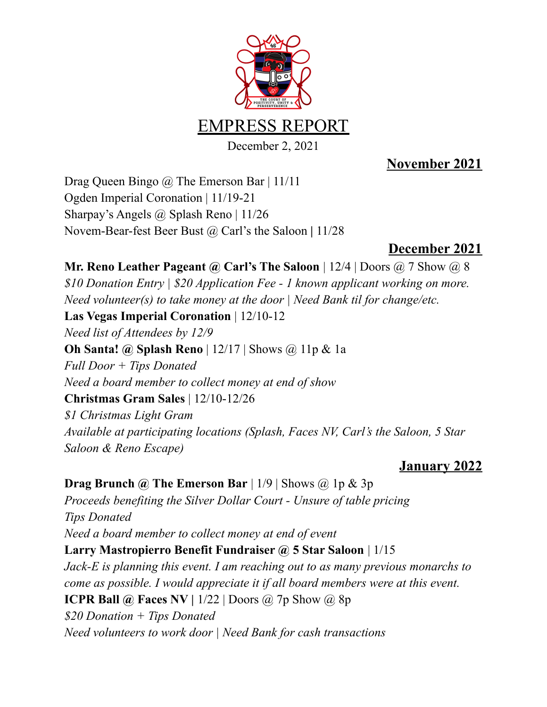

December 2, 2021

**November 2021**

Drag Queen Bingo @ The Emerson Bar | 11/11 Ogden Imperial Coronation | 11/19-21 Sharpay's Angels @ Splash Reno | 11/26 Novem-Bear-fest Beer Bust @ Carl's the Saloon **|** 11/28

**December 2021**

**Mr. Reno Leather Pageant @ Carl's The Saloon** | 12/4 | Doors @ 7 Show @ 8 *\$10 Donation Entry | \$20 Application Fee - 1 known applicant working on more. Need volunteer(s) to take money at the door | Need Bank til for change/etc.*

**Las Vegas Imperial Coronation** | 12/10-12

*Need list of Attendees by 12/9*

**Oh Santa! @ Splash Reno** | 12/17 | Shows @ 11p & 1a

*Full Door + Tips Donated*

*Need a board member to collect money at end of show*

**Christmas Gram Sales** | 12/10-12/26

*\$1 Christmas Light Gram Available at participating locations (Splash, Faces NV, Carl's the Saloon, 5 Star Saloon & Reno Escape)*

**January 2022**

**Drag Brunch @ The Emerson Bar** | 1/9 | Shows @ 1p & 3p *Proceeds benefiting the Silver Dollar Court - Unsure of table pricing Tips Donated Need a board member to collect money at end of event* **Larry Mastropierro Benefit Fundraiser @ 5 Star Saloon** | 1/15 *Jack-E is planning this event. I am reaching out to as many previous monarchs to come as possible. I would appreciate it if all board members were at this event.* **ICPR Ball @ Faces NV |** 1/22 | Doors @ 7p Show @ 8p *\$20 Donation + Tips Donated Need volunteers to work door | Need Bank for cash transactions*